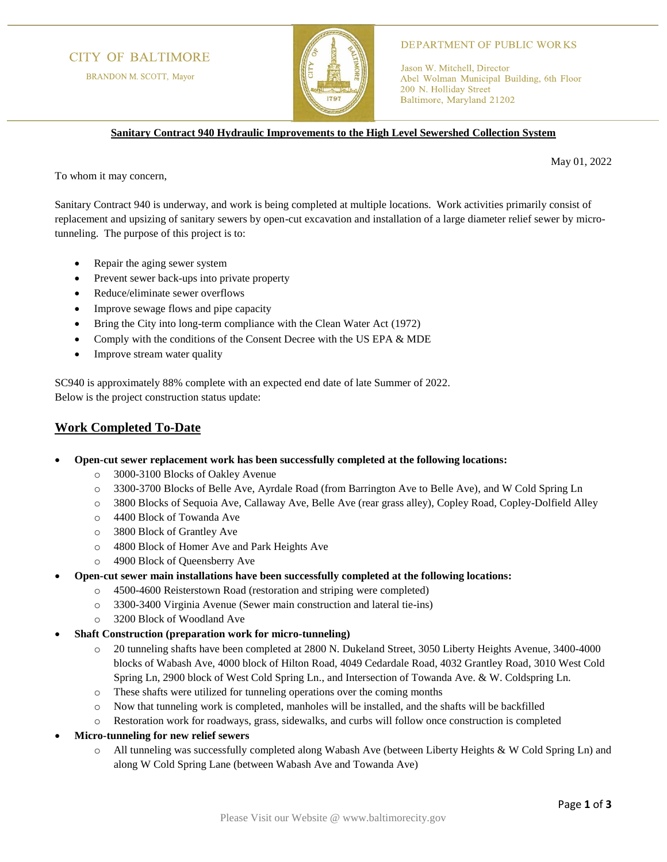# **CITY OF BALTIMORE**

BRANDON M. SCOTT, Mayor



#### **DEPARTMENT OF PUBLIC WORKS**

Jason W. Mitchell, Director Abel Wolman Municipal Building, 6th Floor 200 N. Holliday Street Baltimore, Maryland 21202

**Sanitary Contract 940 Hydraulic Improvements to the High Level Sewershed Collection System**

May 01, 2022

To whom it may concern,

Sanitary Contract 940 is underway, and work is being completed at multiple locations. Work activities primarily consist of replacement and upsizing of sanitary sewers by open-cut excavation and installation of a large diameter relief sewer by microtunneling. The purpose of this project is to:

- Repair the aging sewer system
- Prevent sewer back-ups into private property
- Reduce/eliminate sewer overflows
- Improve sewage flows and pipe capacity
- Bring the City into long-term compliance with the Clean Water Act (1972)
- Comply with the conditions of the Consent Decree with the US EPA & MDE
- Improve stream water quality

SC940 is approximately 88% complete with an expected end date of late Summer of 2022. Below is the project construction status update:

### **Work Completed To-Date**

- **Open-cut sewer replacement work has been successfully completed at the following locations:**
	- o 3000-3100 Blocks of Oakley Avenue
	- o 3300-3700 Blocks of Belle Ave, Ayrdale Road (from Barrington Ave to Belle Ave), and W Cold Spring Ln
	- o 3800 Blocks of Sequoia Ave, Callaway Ave, Belle Ave (rear grass alley), Copley Road, Copley-Dolfield Alley
	- o 4400 Block of Towanda Ave
	- o 3800 Block of Grantley Ave
	- o 4800 Block of Homer Ave and Park Heights Ave
	- o 4900 Block of Queensberry Ave
- **Open-cut sewer main installations have been successfully completed at the following locations:**
	- o 4500-4600 Reisterstown Road (restoration and striping were completed)
	- o 3300-3400 Virginia Avenue (Sewer main construction and lateral tie-ins)
	- o 3200 Block of Woodland Ave
- **Shaft Construction (preparation work for micro-tunneling)**
	- o 20 tunneling shafts have been completed at 2800 N. Dukeland Street, 3050 Liberty Heights Avenue, 3400-4000 blocks of Wabash Ave, 4000 block of Hilton Road, 4049 Cedardale Road, 4032 Grantley Road, 3010 West Cold Spring Ln, 2900 block of West Cold Spring Ln., and Intersection of Towanda Ave. & W. Coldspring Ln.
	- o These shafts were utilized for tunneling operations over the coming months
	- o Now that tunneling work is completed, manholes will be installed, and the shafts will be backfilled
	- o Restoration work for roadways, grass, sidewalks, and curbs will follow once construction is completed
- **Micro-tunneling for new relief sewers**
	- o All tunneling was successfully completed along Wabash Ave (between Liberty Heights & W Cold Spring Ln) and along W Cold Spring Lane (between Wabash Ave and Towanda Ave)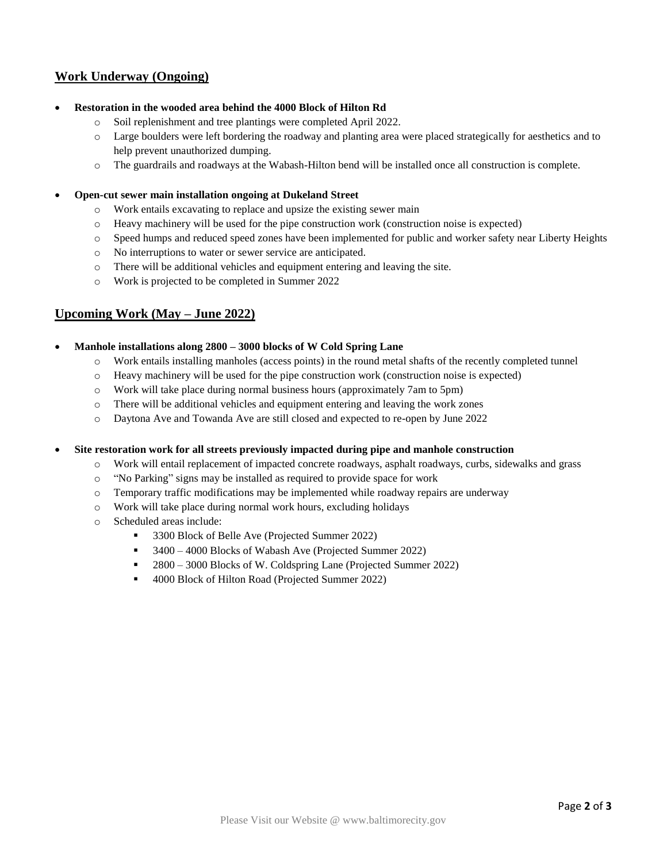# **Work Underway (Ongoing)**

- **Restoration in the wooded area behind the 4000 Block of Hilton Rd**
	- o Soil replenishment and tree plantings were completed April 2022.
	- o Large boulders were left bordering the roadway and planting area were placed strategically for aesthetics and to help prevent unauthorized dumping.
	- o The guardrails and roadways at the Wabash-Hilton bend will be installed once all construction is complete.
- **Open-cut sewer main installation ongoing at Dukeland Street**
	- o Work entails excavating to replace and upsize the existing sewer main
	- $\circ$  Heavy machinery will be used for the pipe construction work (construction noise is expected)
	- o Speed humps and reduced speed zones have been implemented for public and worker safety near Liberty Heights
	- o No interruptions to water or sewer service are anticipated.
	- o There will be additional vehicles and equipment entering and leaving the site.
	- o Work is projected to be completed in Summer 2022

### **Upcoming Work (May – June 2022)**

#### • **Manhole installations along 2800 – 3000 blocks of W Cold Spring Lane**

- o Work entails installing manholes (access points) in the round metal shafts of the recently completed tunnel
- o Heavy machinery will be used for the pipe construction work (construction noise is expected)
- o Work will take place during normal business hours (approximately 7am to 5pm)
- o There will be additional vehicles and equipment entering and leaving the work zones
- o Daytona Ave and Towanda Ave are still closed and expected to re-open by June 2022

• **Site restoration work for all streets previously impacted during pipe and manhole construction**

- o Work will entail replacement of impacted concrete roadways, asphalt roadways, curbs, sidewalks and grass
- o "No Parking" signs may be installed as required to provide space for work
- o Temporary traffic modifications may be implemented while roadway repairs are underway
- o Work will take place during normal work hours, excluding holidays
- o Scheduled areas include:
	- 3300 Block of Belle Ave (Projected Summer 2022)
	- 3400 4000 Blocks of Wabash Ave (Projected Summer 2022)
	- 2800 3000 Blocks of W. Coldspring Lane (Projected Summer 2022)
	- 4000 Block of Hilton Road (Projected Summer 2022)